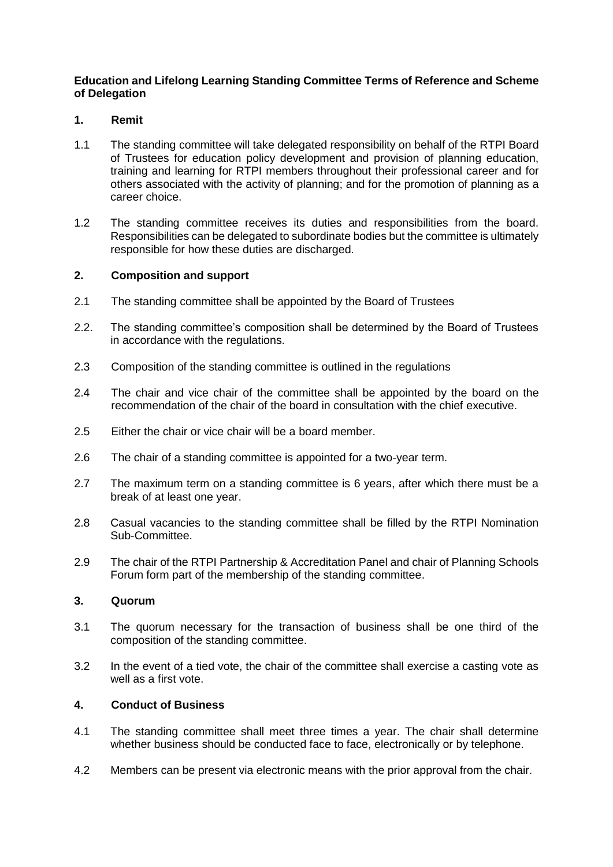## **Education and Lifelong Learning Standing Committee Terms of Reference and Scheme of Delegation**

## **1. Remit**

- 1.1 The standing committee will take delegated responsibility on behalf of the RTPI Board of Trustees for education policy development and provision of planning education, training and learning for RTPI members throughout their professional career and for others associated with the activity of planning; and for the promotion of planning as a career choice.
- 1.2 The standing committee receives its duties and responsibilities from the board. Responsibilities can be delegated to subordinate bodies but the committee is ultimately responsible for how these duties are discharged.

#### **2. Composition and support**

- 2.1 The standing committee shall be appointed by the Board of Trustees
- 2.2. The standing committee's composition shall be determined by the Board of Trustees in accordance with the regulations.
- 2.3 Composition of the standing committee is outlined in the regulations
- 2.4 The chair and vice chair of the committee shall be appointed by the board on the recommendation of the chair of the board in consultation with the chief executive.
- 2.5 Either the chair or vice chair will be a board member.
- 2.6 The chair of a standing committee is appointed for a two-year term.
- 2.7 The maximum term on a standing committee is 6 years, after which there must be a break of at least one year.
- 2.8 Casual vacancies to the standing committee shall be filled by the RTPI Nomination Sub-Committee.
- 2.9 The chair of the RTPI Partnership & Accreditation Panel and chair of Planning Schools Forum form part of the membership of the standing committee.

## **3. Quorum**

- 3.1 The quorum necessary for the transaction of business shall be one third of the composition of the standing committee.
- 3.2 In the event of a tied vote, the chair of the committee shall exercise a casting vote as well as a first vote.

## **4. Conduct of Business**

- 4.1 The standing committee shall meet three times a year. The chair shall determine whether business should be conducted face to face, electronically or by telephone.
- 4.2 Members can be present via electronic means with the prior approval from the chair.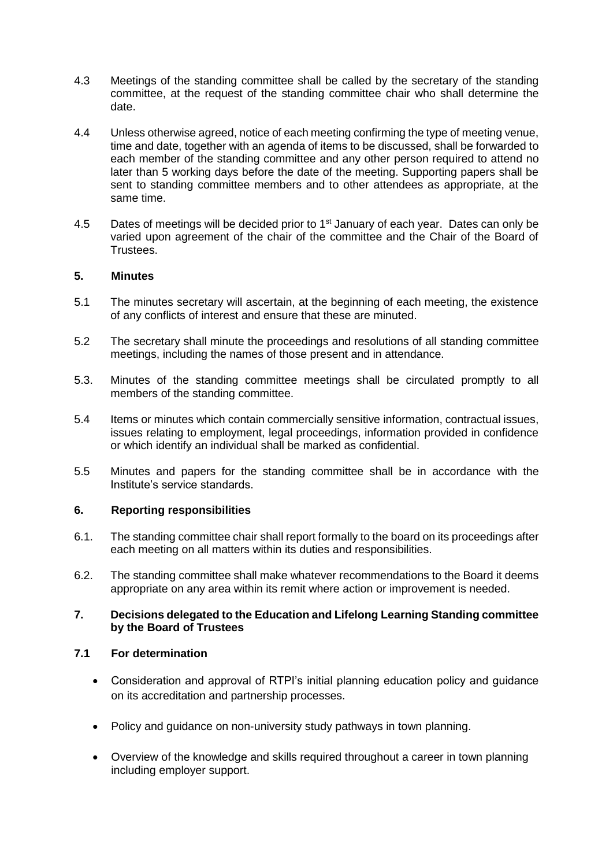- 4.3 Meetings of the standing committee shall be called by the secretary of the standing committee, at the request of the standing committee chair who shall determine the date.
- 4.4 Unless otherwise agreed, notice of each meeting confirming the type of meeting venue, time and date, together with an agenda of items to be discussed, shall be forwarded to each member of the standing committee and any other person required to attend no later than 5 working days before the date of the meeting. Supporting papers shall be sent to standing committee members and to other attendees as appropriate, at the same time.
- 4.5 Dates of meetings will be decided prior to 1<sup>st</sup> January of each year. Dates can only be varied upon agreement of the chair of the committee and the Chair of the Board of Trustees.

#### **5. Minutes**

- 5.1 The minutes secretary will ascertain, at the beginning of each meeting, the existence of any conflicts of interest and ensure that these are minuted.
- 5.2 The secretary shall minute the proceedings and resolutions of all standing committee meetings, including the names of those present and in attendance.
- 5.3. Minutes of the standing committee meetings shall be circulated promptly to all members of the standing committee.
- 5.4 Items or minutes which contain commercially sensitive information, contractual issues, issues relating to employment, legal proceedings, information provided in confidence or which identify an individual shall be marked as confidential.
- 5.5 Minutes and papers for the standing committee shall be in accordance with the Institute's service standards.

#### **6. Reporting responsibilities**

- 6.1. The standing committee chair shall report formally to the board on its proceedings after each meeting on all matters within its duties and responsibilities.
- 6.2. The standing committee shall make whatever recommendations to the Board it deems appropriate on any area within its remit where action or improvement is needed.

#### **7. Decisions delegated to the Education and Lifelong Learning Standing committee by the Board of Trustees**

## **7.1 For determination**

- Consideration and approval of RTPI's initial planning education policy and guidance on its accreditation and partnership processes.
- Policy and guidance on non-university study pathways in town planning.
- Overview of the knowledge and skills required throughout a career in town planning including employer support.